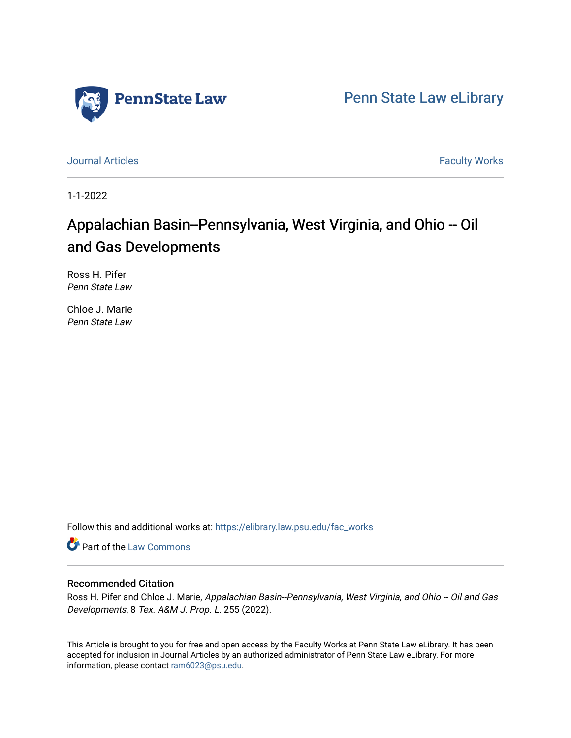

[Penn State Law eLibrary](https://elibrary.law.psu.edu/) 

[Journal Articles](https://elibrary.law.psu.edu/fac_works) **Faculty Works Journal Articles** 

1-1-2022

# Appalachian Basin--Pennsylvania, West Virginia, and Ohio -- Oil and Gas Developments

Ross H. Pifer Penn State Law

Chloe J. Marie Penn State Law

Follow this and additional works at: [https://elibrary.law.psu.edu/fac\\_works](https://elibrary.law.psu.edu/fac_works?utm_source=elibrary.law.psu.edu%2Ffac_works%2F444&utm_medium=PDF&utm_campaign=PDFCoverPages)

Part of the [Law Commons](https://network.bepress.com/hgg/discipline/578?utm_source=elibrary.law.psu.edu%2Ffac_works%2F444&utm_medium=PDF&utm_campaign=PDFCoverPages)

## Recommended Citation

Ross H. Pifer and Chloe J. Marie, Appalachian Basin--Pennsylvania, West Virginia, and Ohio -- Oil and Gas Developments, 8 Tex. A&M J. Prop. L. 255 (2022).

This Article is brought to you for free and open access by the Faculty Works at Penn State Law eLibrary. It has been accepted for inclusion in Journal Articles by an authorized administrator of Penn State Law eLibrary. For more information, please contact [ram6023@psu.edu](mailto:ram6023@psu.edu).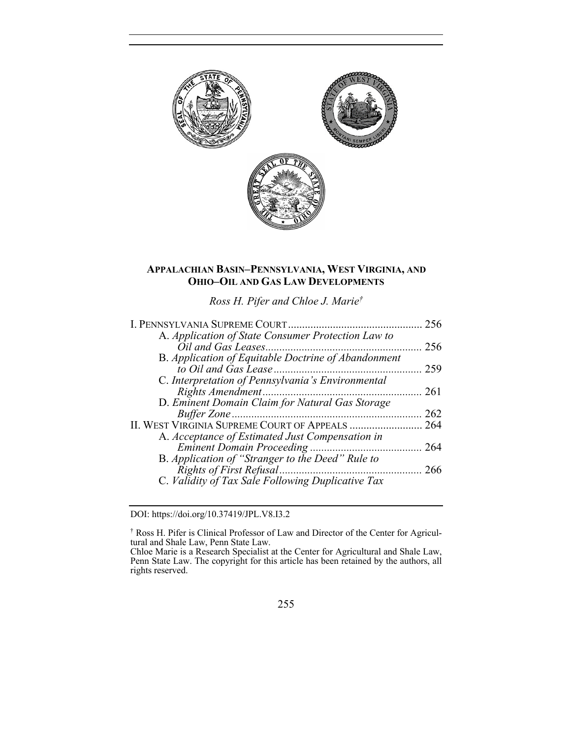

# **APPALACHIAN BASIN–PENNSYLVANIA, WEST VIRGINIA, AND OHIO–OIL AND GAS LAW DEVELOPMENTS**

*Ross H. Pifer and Chloe J. Marie†*

| I. PENNSYLVANIA SUPREME COURT.                      | 256 |
|-----------------------------------------------------|-----|
| A. Application of State Consumer Protection Law to  |     |
|                                                     | 256 |
| B. Application of Equitable Doctrine of Abandonment |     |
|                                                     | 259 |
| C. Interpretation of Pennsylvania's Environmental   |     |
|                                                     | 261 |
| D. Eminent Domain Claim for Natural Gas Storage     |     |
|                                                     | 262 |
| II. WEST VIRGINIA SUPREME COURT OF APPEALS          | 264 |
| A. Acceptance of Estimated Just Compensation in     |     |
|                                                     | 264 |
| B. Application of "Stranger to the Deed" Rule to    |     |
|                                                     | 266 |
| C. Validity of Tax Sale Following Duplicative Tax   |     |
|                                                     |     |

DOI: https://doi.org/10.37419/JPL.V8.I3.2

<sup>†</sup> Ross H. Pifer is Clinical Professor of Law and Director of the Center for Agricultural and Shale Law, Penn State Law.

Chloe Marie is a Research Specialist at the Center for Agricultural and Shale Law, Penn State Law. The copyright for this article has been retained by the authors, all rights reserved.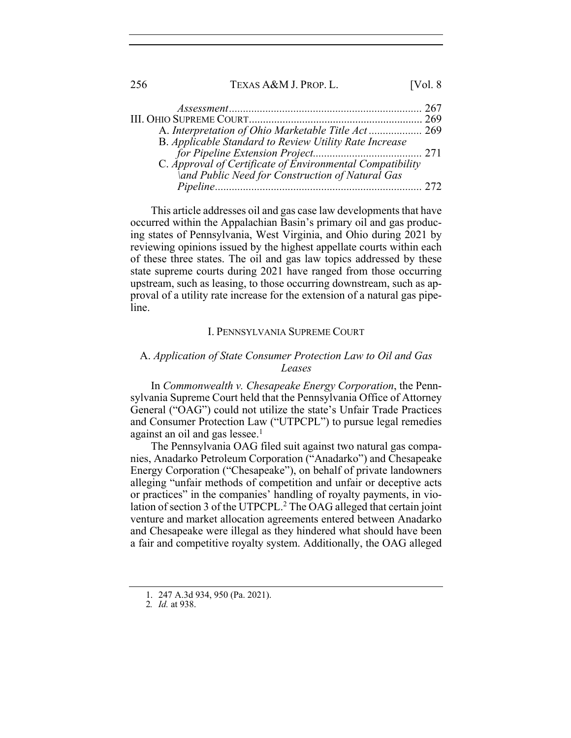| 256 | TEXAS A&M J. PROP. L.                                     | [Vol. 8] |
|-----|-----------------------------------------------------------|----------|
|     |                                                           |          |
|     |                                                           |          |
|     |                                                           |          |
|     | B. Applicable Standard to Review Utility Rate Increase    |          |
|     |                                                           |          |
|     | C. Approval of Certificate of Environmental Compatibility |          |
|     | \and Public Need for Construction of Natural Gas          |          |
|     |                                                           |          |

This article addresses oil and gas case law developments that have occurred within the Appalachian Basin's primary oil and gas producing states of Pennsylvania, West Virginia, and Ohio during 2021 by reviewing opinions issued by the highest appellate courts within each of these three states. The oil and gas law topics addressed by these state supreme courts during 2021 have ranged from those occurring upstream, such as leasing, to those occurring downstream, such as approval of a utility rate increase for the extension of a natural gas pipeline.

#### I. PENNSYLVANIA SUPREME COURT

# A. *Application of State Consumer Protection Law to Oil and Gas Leases*

In *Commonwealth v. Chesapeake Energy Corporation*, the Pennsylvania Supreme Court held that the Pennsylvania Office of Attorney General ("OAG") could not utilize the state's Unfair Trade Practices and Consumer Protection Law ("UTPCPL") to pursue legal remedies against an oil and gas lessee. $<sup>1</sup>$ </sup>

The Pennsylvania OAG filed suit against two natural gas companies, Anadarko Petroleum Corporation ("Anadarko") and Chesapeake Energy Corporation ("Chesapeake"), on behalf of private landowners alleging "unfair methods of competition and unfair or deceptive acts or practices" in the companies' handling of royalty payments, in violation of section 3 of the UTPCPL.<sup>2</sup> The OAG alleged that certain joint venture and market allocation agreements entered between Anadarko and Chesapeake were illegal as they hindered what should have been a fair and competitive royalty system. Additionally, the OAG alleged

<sup>1.</sup> 247 A.3d 934, 950 (Pa. 2021).

<sup>2</sup>*. Id.* at 938.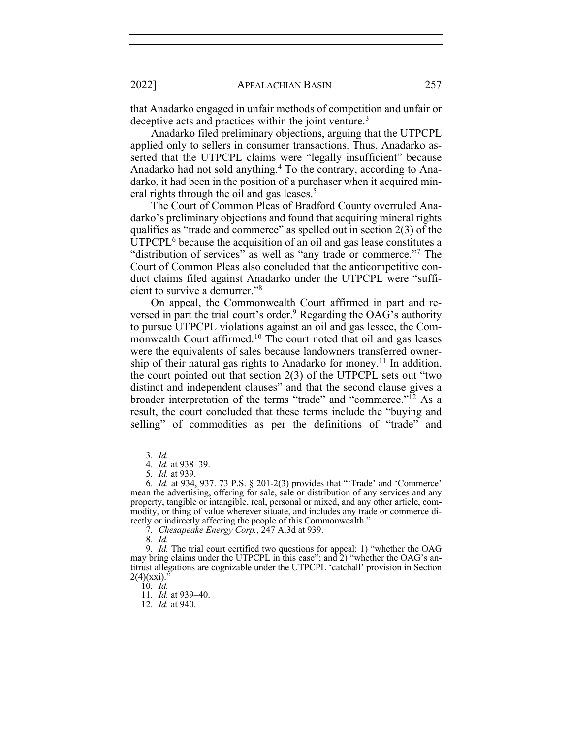that Anadarko engaged in unfair methods of competition and unfair or deceptive acts and practices within the joint venture.<sup>3</sup>

Anadarko filed preliminary objections, arguing that the UTPCPL applied only to sellers in consumer transactions. Thus, Anadarko asserted that the UTPCPL claims were "legally insufficient" because Anadarko had not sold anything.4 To the contrary, according to Anadarko, it had been in the position of a purchaser when it acquired mineral rights through the oil and gas leases.<sup>5</sup>

The Court of Common Pleas of Bradford County overruled Anadarko's preliminary objections and found that acquiring mineral rights qualifies as "trade and commerce" as spelled out in section 2(3) of the UTPCPL<sup>6</sup> because the acquisition of an oil and gas lease constitutes a "distribution of services" as well as "any trade or commerce."7 The Court of Common Pleas also concluded that the anticompetitive conduct claims filed against Anadarko under the UTPCPL were "sufficient to survive a demurrer."8

On appeal, the Commonwealth Court affirmed in part and reversed in part the trial court's order.<sup>9</sup> Regarding the OAG's authority to pursue UTPCPL violations against an oil and gas lessee, the Commonwealth Court affirmed.<sup>10</sup> The court noted that oil and gas leases were the equivalents of sales because landowners transferred ownership of their natural gas rights to Anadarko for money.<sup>11</sup> In addition, the court pointed out that section 2(3) of the UTPCPL sets out "two distinct and independent clauses" and that the second clause gives a broader interpretation of the terms "trade" and "commerce."12 As a result, the court concluded that these terms include the "buying and selling" of commodities as per the definitions of "trade" and

7*. Chesapeake Energy Corp.*, 247 A.3d at 939.

10*. Id.*

11*. Id.* at 939–40.

12*. Id.* at 940.

<sup>3</sup>*. Id.*

<sup>4</sup>*. Id.* at 938–39.

<sup>5</sup>*. Id.* at 939.

<sup>6</sup>*. Id.* at 934, 937. 73 P.S. § 201-2(3) provides that "'Trade' and 'Commerce' mean the advertising, offering for sale, sale or distribution of any services and any property, tangible or intangible, real, personal or mixed, and any other article, commodity, or thing of value wherever situate, and includes any trade or commerce directly or indirectly affecting the people of this Commonwealth."

<sup>8</sup>*. Id.*

<sup>9</sup>*. Id.* The trial court certified two questions for appeal: 1) "whether the OAG may bring claims under the UTPCPL in this case"; and 2) "whether the OAG's antitrust allegations are cognizable under the UTPCPL 'catchall' provision in Section  $2(4)(xxi)$ ."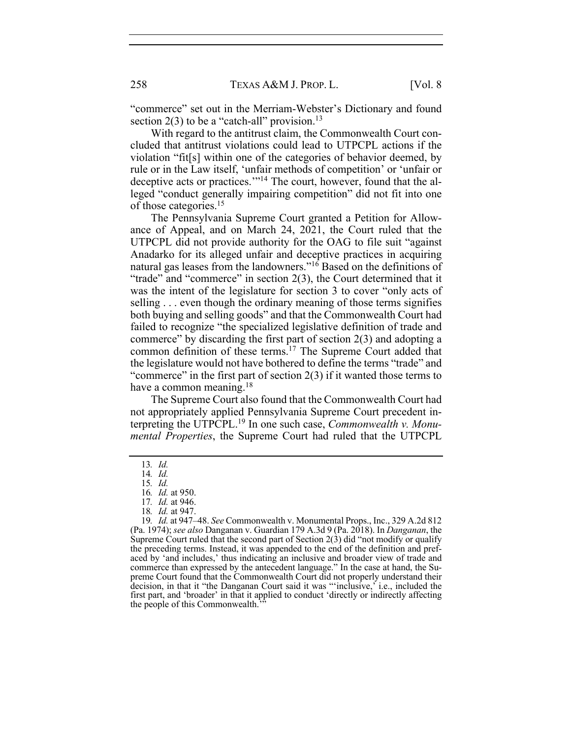"commerce" set out in the Merriam-Webster's Dictionary and found section  $2(3)$  to be a "catch-all" provision.<sup>13</sup>

With regard to the antitrust claim, the Commonwealth Court concluded that antitrust violations could lead to UTPCPL actions if the violation "fit[s] within one of the categories of behavior deemed, by rule or in the Law itself, 'unfair methods of competition' or 'unfair or deceptive acts or practices."<sup>14</sup> The court, however, found that the alleged "conduct generally impairing competition" did not fit into one of those categories.15

The Pennsylvania Supreme Court granted a Petition for Allowance of Appeal, and on March 24, 2021, the Court ruled that the UTPCPL did not provide authority for the OAG to file suit "against Anadarko for its alleged unfair and deceptive practices in acquiring natural gas leases from the landowners."16 Based on the definitions of "trade" and "commerce" in section 2(3), the Court determined that it was the intent of the legislature for section 3 to cover "only acts of selling . . . even though the ordinary meaning of those terms signifies both buying and selling goods" and that the Commonwealth Court had failed to recognize "the specialized legislative definition of trade and commerce" by discarding the first part of section 2(3) and adopting a common definition of these terms.<sup>17</sup> The Supreme Court added that the legislature would not have bothered to define the terms "trade" and "commerce" in the first part of section 2(3) if it wanted those terms to have a common meaning. $18$ 

The Supreme Court also found that the Commonwealth Court had not appropriately applied Pennsylvania Supreme Court precedent interpreting the UTPCPL.19 In one such case, *Commonwealth v. Monumental Properties*, the Supreme Court had ruled that the UTPCPL

<sup>13</sup>*. Id.* 

<sup>14</sup>*. Id.* 

<sup>15</sup>*. Id.* 

<sup>16</sup>*. Id.* at 950.

<sup>17</sup>*. Id.* at 946.

<sup>18</sup>*. Id.* at 947.

<sup>19</sup>*. Id.* at 947–48. *See* Commonwealth v. Monumental Props., Inc., 329 A.2d 812 (Pa. 1974); *see also* Danganan v. Guardian 179 A.3d 9 (Pa. 2018). In *Danganan*, the Supreme Court ruled that the second part of Section  $2(3)$  did "not modify or qualify the preceding terms. Instead, it was appended to the end of the definition and prefaced by 'and includes,' thus indicating an inclusive and broader view of trade and commerce than expressed by the antecedent language." In the case at hand, the Supreme Court found that the Commonwealth Court did not properly understand their decision, in that it "the Danganan Court said it was "'inclusive,' i.e., included the first part, and 'broader' in that it applied to conduct 'directly or indirectly affecting the people of this Commonwealth.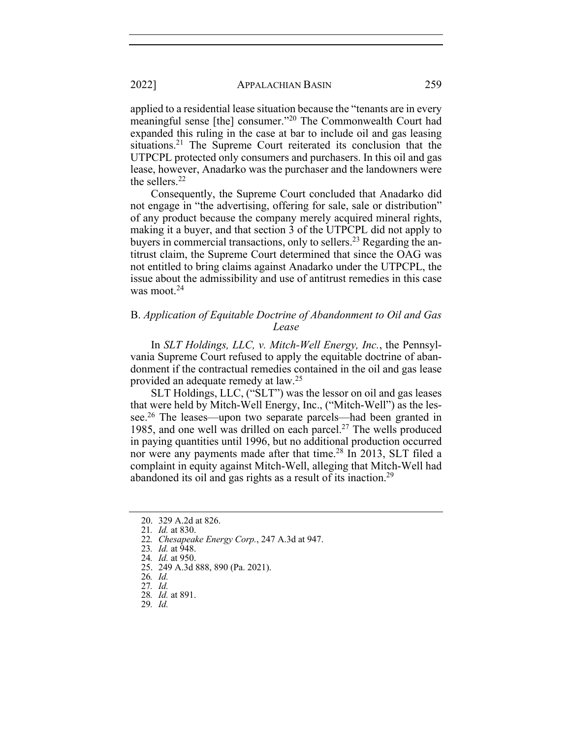applied to a residential lease situation because the "tenants are in every meaningful sense [the] consumer."20 The Commonwealth Court had expanded this ruling in the case at bar to include oil and gas leasing situations.<sup>21</sup> The Supreme Court reiterated its conclusion that the UTPCPL protected only consumers and purchasers. In this oil and gas lease, however, Anadarko was the purchaser and the landowners were the sellers.22

Consequently, the Supreme Court concluded that Anadarko did not engage in "the advertising, offering for sale, sale or distribution" of any product because the company merely acquired mineral rights, making it a buyer, and that section 3 of the UTPCPL did not apply to buyers in commercial transactions, only to sellers.<sup>23</sup> Regarding the antitrust claim, the Supreme Court determined that since the OAG was not entitled to bring claims against Anadarko under the UTPCPL, the issue about the admissibility and use of antitrust remedies in this case was moot. $24$ 

## B. *Application of Equitable Doctrine of Abandonment to Oil and Gas Lease*

In *SLT Holdings, LLC, v. Mitch-Well Energy, Inc.*, the Pennsylvania Supreme Court refused to apply the equitable doctrine of abandonment if the contractual remedies contained in the oil and gas lease provided an adequate remedy at law.25

SLT Holdings, LLC, ("SLT") was the lessor on oil and gas leases that were held by Mitch-Well Energy, Inc., ("Mitch-Well") as the lessee.26 The leases—upon two separate parcels—had been granted in 1985, and one well was drilled on each parcel.<sup>27</sup> The wells produced in paying quantities until 1996, but no additional production occurred nor were any payments made after that time.<sup>28</sup> In 2013, SLT filed a complaint in equity against Mitch-Well, alleging that Mitch-Well had abandoned its oil and gas rights as a result of its inaction.29

<sup>20.</sup> 329 A.2d at 826.

<sup>21</sup>*. Id.* at 830.

<sup>22</sup>*. Chesapeake Energy Corp.*, 247 A.3d at 947.

<sup>23</sup>*. Id.* at 948.

<sup>24</sup>*. Id.* at 950.

<sup>25.</sup> 249 A.3d 888, 890 (Pa. 2021).

<sup>26</sup>*. Id.*

<sup>27</sup>*. Id.*

<sup>28</sup>*. Id.* at 891.

<sup>29</sup>*. Id.*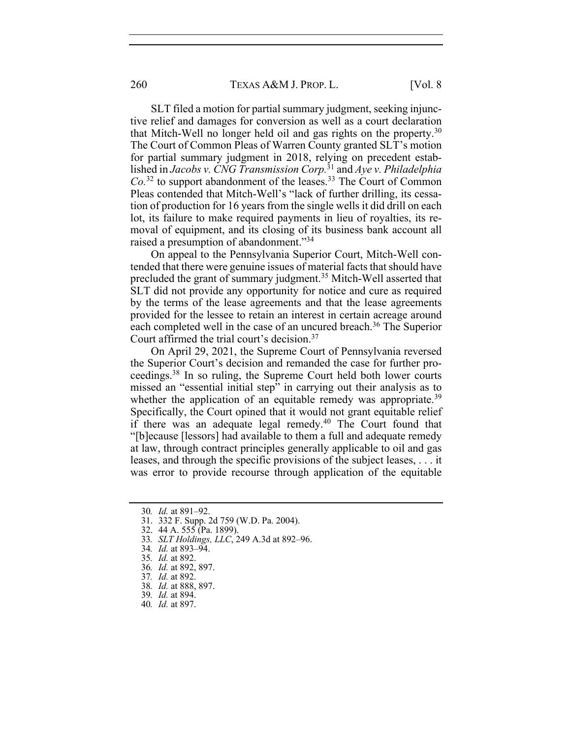SLT filed a motion for partial summary judgment, seeking injunctive relief and damages for conversion as well as a court declaration that Mitch-Well no longer held oil and gas rights on the property.30 The Court of Common Pleas of Warren County granted SLT's motion for partial summary judgment in 2018, relying on precedent established in *Jacobs v. CNG Transmission Corp.*<sup>31</sup> and *Aye v. Philadelphia Co.*<sup>32</sup> to support abandonment of the leases.33 The Court of Common Pleas contended that Mitch-Well's "lack of further drilling, its cessation of production for 16 years from the single wells it did drill on each lot, its failure to make required payments in lieu of royalties, its removal of equipment, and its closing of its business bank account all raised a presumption of abandonment."34

On appeal to the Pennsylvania Superior Court, Mitch-Well contended that there were genuine issues of material facts that should have precluded the grant of summary judgment.35 Mitch-Well asserted that SLT did not provide any opportunity for notice and cure as required by the terms of the lease agreements and that the lease agreements provided for the lessee to retain an interest in certain acreage around each completed well in the case of an uncured breach.<sup>36</sup> The Superior Court affirmed the trial court's decision.37

On April 29, 2021, the Supreme Court of Pennsylvania reversed the Superior Court's decision and remanded the case for further proceedings.38 In so ruling, the Supreme Court held both lower courts missed an "essential initial step" in carrying out their analysis as to whether the application of an equitable remedy was appropriate.<sup>39</sup> Specifically, the Court opined that it would not grant equitable relief if there was an adequate legal remedy.40 The Court found that "[b]ecause [lessors] had available to them a full and adequate remedy at law, through contract principles generally applicable to oil and gas leases, and through the specific provisions of the subject leases, . . . it was error to provide recourse through application of the equitable

31. 332 F. Supp. 2d 759 (W.D. Pa. 2004).

- 33*. SLT Holdings, LLC*, 249 A.3d at 892–96.
- 34*. Id.* at 893–94.
- 35*. Id.* at 892.
- 36*. Id.* at 892, 897.
- 37*. Id.* at 892.
- 38*. Id.* at 888, 897.
- 39*. Id.* at 894.
- 40*. Id.* at 897.

<sup>30</sup>*. Id.* at 891–92.

<sup>32.</sup> 44 A. 555 (Pa. 1899).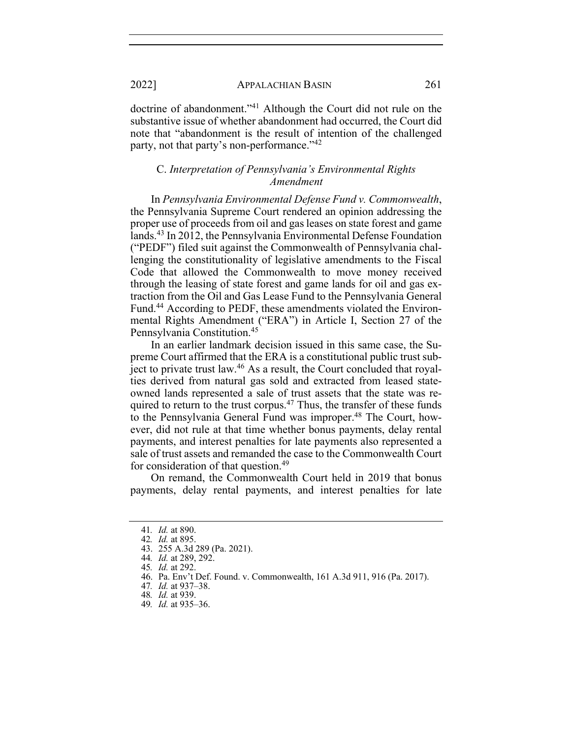doctrine of abandonment."41 Although the Court did not rule on the substantive issue of whether abandonment had occurred, the Court did note that "abandonment is the result of intention of the challenged party, not that party's non-performance."42

## C. *Interpretation of Pennsylvania's Environmental Rights Amendment*

In *Pennsylvania Environmental Defense Fund v. Commonwealth*, the Pennsylvania Supreme Court rendered an opinion addressing the proper use of proceeds from oil and gas leases on state forest and game lands.43 In 2012, the Pennsylvania Environmental Defense Foundation ("PEDF") filed suit against the Commonwealth of Pennsylvania challenging the constitutionality of legislative amendments to the Fiscal Code that allowed the Commonwealth to move money received through the leasing of state forest and game lands for oil and gas extraction from the Oil and Gas Lease Fund to the Pennsylvania General Fund.44 According to PEDF, these amendments violated the Environmental Rights Amendment ("ERA") in Article I, Section 27 of the Pennsylvania Constitution.45

In an earlier landmark decision issued in this same case, the Supreme Court affirmed that the ERA is a constitutional public trust subject to private trust law.<sup>46</sup> As a result, the Court concluded that royalties derived from natural gas sold and extracted from leased stateowned lands represented a sale of trust assets that the state was required to return to the trust corpus.<sup>47</sup> Thus, the transfer of these funds to the Pennsylvania General Fund was improper.<sup>48</sup> The Court, however, did not rule at that time whether bonus payments, delay rental payments, and interest penalties for late payments also represented a sale of trust assets and remanded the case to the Commonwealth Court for consideration of that question.<sup>49</sup>

On remand, the Commonwealth Court held in 2019 that bonus payments, delay rental payments, and interest penalties for late

46. Pa. Env't Def. Found. v. Commonwealth, 161 A.3d 911, 916 (Pa. 2017).

<sup>41</sup>*. Id.* at 890.

<sup>42</sup>*. Id.* at 895.

<sup>43.</sup> 255 A.3d 289 (Pa. 2021).

<sup>44</sup>*. Id.* at 289, 292.

<sup>45</sup>*. Id.* at 292.

<sup>47</sup>*. Id.* at 937–38.

<sup>48</sup>*. Id.* at 939.

<sup>49</sup>*. Id.* at 935–36.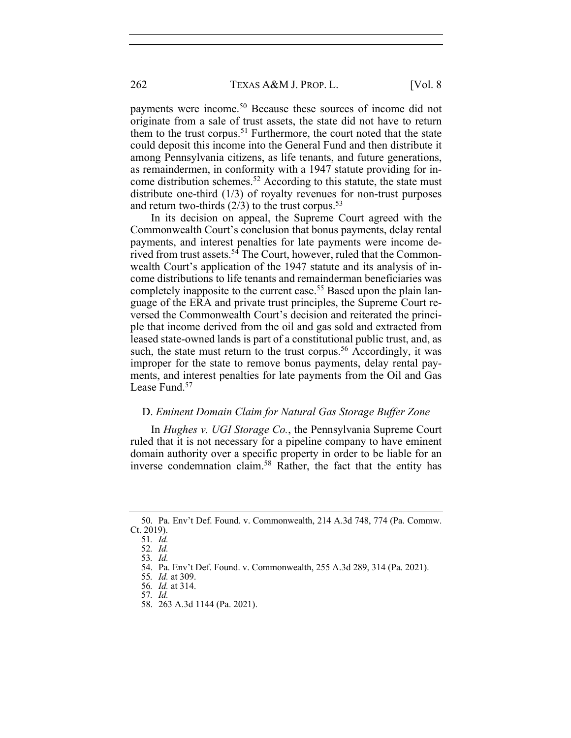262 TEXAS A&M J. PROP. L. [Vol. 8]

payments were income.50 Because these sources of income did not originate from a sale of trust assets, the state did not have to return them to the trust corpus.<sup>51</sup> Furthermore, the court noted that the state could deposit this income into the General Fund and then distribute it among Pennsylvania citizens, as life tenants, and future generations, as remaindermen, in conformity with a 1947 statute providing for income distribution schemes.<sup>52</sup> According to this statute, the state must distribute one-third (1/3) of royalty revenues for non-trust purposes and return two-thirds  $(2/3)$  to the trust corpus.<sup>53</sup>

In its decision on appeal, the Supreme Court agreed with the Commonwealth Court's conclusion that bonus payments, delay rental payments, and interest penalties for late payments were income derived from trust assets.<sup>54</sup> The Court, however, ruled that the Commonwealth Court's application of the 1947 statute and its analysis of income distributions to life tenants and remainderman beneficiaries was completely inapposite to the current case.<sup>55</sup> Based upon the plain language of the ERA and private trust principles, the Supreme Court reversed the Commonwealth Court's decision and reiterated the principle that income derived from the oil and gas sold and extracted from leased state-owned lands is part of a constitutional public trust, and, as such, the state must return to the trust corpus.<sup>56</sup> Accordingly, it was improper for the state to remove bonus payments, delay rental payments, and interest penalties for late payments from the Oil and Gas Lease Fund.<sup>57</sup>

## D. *Eminent Domain Claim for Natural Gas Storage Buffer Zone*

In *Hughes v. UGI Storage Co.*, the Pennsylvania Supreme Court ruled that it is not necessary for a pipeline company to have eminent domain authority over a specific property in order to be liable for an inverse condemnation claim.58 Rather, the fact that the entity has

<sup>50.</sup> Pa. Env't Def. Found. v. Commonwealth, 214 A.3d 748, 774 (Pa. Commw. Ct. 2019).

<sup>51</sup>*. Id.*

<sup>52</sup>*. Id.*

<sup>53</sup>*. Id.*

<sup>54.</sup> Pa. Env't Def. Found. v. Commonwealth, 255 A.3d 289, 314 (Pa. 2021).

<sup>55</sup>*. Id.* at 309.

<sup>56</sup>*. Id.* at 314. 57*. Id.*

<sup>58.</sup> 263 A.3d 1144 (Pa. 2021).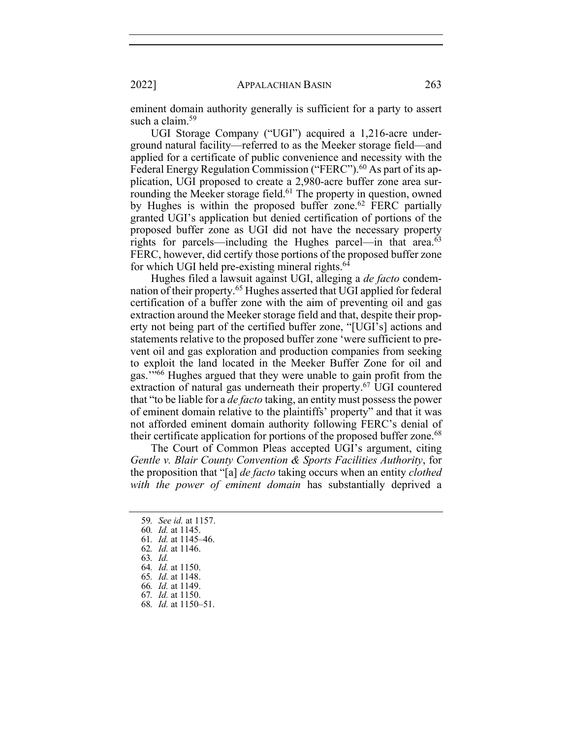eminent domain authority generally is sufficient for a party to assert such a claim.<sup>59</sup>

UGI Storage Company ("UGI") acquired a 1,216-acre underground natural facility—referred to as the Meeker storage field—and applied for a certificate of public convenience and necessity with the Federal Energy Regulation Commission ("FERC").<sup>60</sup> As part of its application, UGI proposed to create a 2,980-acre buffer zone area surrounding the Meeker storage field.<sup>61</sup> The property in question, owned by Hughes is within the proposed buffer zone.<sup>62</sup> FERC partially granted UGI's application but denied certification of portions of the proposed buffer zone as UGI did not have the necessary property rights for parcels—including the Hughes parcel—in that area.<sup>63</sup> FERC, however, did certify those portions of the proposed buffer zone for which UGI held pre-existing mineral rights.<sup>64</sup>

Hughes filed a lawsuit against UGI, alleging a *de facto* condemnation of their property.65 Hughes asserted that UGI applied for federal certification of a buffer zone with the aim of preventing oil and gas extraction around the Meeker storage field and that, despite their property not being part of the certified buffer zone, "[UGI's] actions and statements relative to the proposed buffer zone 'were sufficient to prevent oil and gas exploration and production companies from seeking to exploit the land located in the Meeker Buffer Zone for oil and gas.'"66 Hughes argued that they were unable to gain profit from the extraction of natural gas underneath their property.<sup>67</sup> UGI countered that "to be liable for a *de facto* taking, an entity must possess the power of eminent domain relative to the plaintiffs' property" and that it was not afforded eminent domain authority following FERC's denial of their certificate application for portions of the proposed buffer zone.<sup>68</sup>

The Court of Common Pleas accepted UGI's argument, citing *Gentle v. Blair County Convention & Sports Facilities Authority*, for the proposition that "[a] *de facto* taking occurs when an entity *clothed with the power of eminent domain* has substantially deprived a

61*. Id.* at 1145–46.

<sup>59</sup>*. See id.* at 1157.

<sup>60</sup>*. Id.* at 1145.

<sup>62</sup>*. Id.* at 1146.

<sup>63</sup>*. Id.*

<sup>64</sup>*. Id.* at 1150.

<sup>65</sup>*. Id.* at 1148.

<sup>66</sup>*. Id.* at 1149. 67*. Id.* at 1150.

<sup>68</sup>*. Id.* at 1150–51.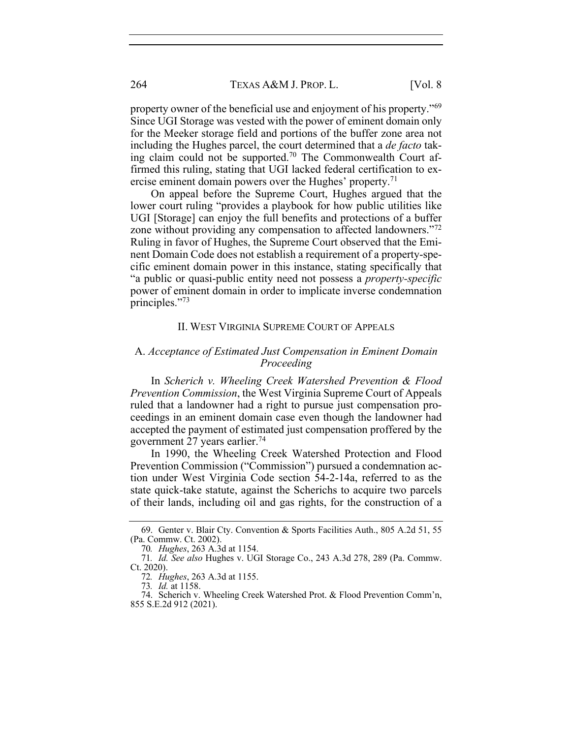property owner of the beneficial use and enjoyment of his property."69 Since UGI Storage was vested with the power of eminent domain only for the Meeker storage field and portions of the buffer zone area not including the Hughes parcel, the court determined that a *de facto* taking claim could not be supported.<sup>70</sup> The Commonwealth Court affirmed this ruling, stating that UGI lacked federal certification to exercise eminent domain powers over the Hughes' property.<sup>71</sup>

On appeal before the Supreme Court, Hughes argued that the lower court ruling "provides a playbook for how public utilities like UGI [Storage] can enjoy the full benefits and protections of a buffer zone without providing any compensation to affected landowners."72 Ruling in favor of Hughes, the Supreme Court observed that the Eminent Domain Code does not establish a requirement of a property-specific eminent domain power in this instance, stating specifically that "a public or quasi-public entity need not possess a *property-specific*  power of eminent domain in order to implicate inverse condemnation principles."73

#### II. WEST VIRGINIA SUPREME COURT OF APPEALS

# A. *Acceptance of Estimated Just Compensation in Eminent Domain Proceeding*

In *Scherich v. Wheeling Creek Watershed Prevention & Flood Prevention Commission*, the West Virginia Supreme Court of Appeals ruled that a landowner had a right to pursue just compensation proceedings in an eminent domain case even though the landowner had accepted the payment of estimated just compensation proffered by the government 27 years earlier.74

In 1990, the Wheeling Creek Watershed Protection and Flood Prevention Commission ("Commission") pursued a condemnation action under West Virginia Code section 54-2-14a, referred to as the state quick-take statute, against the Scherichs to acquire two parcels of their lands, including oil and gas rights, for the construction of a

<sup>69.</sup> Genter v. Blair Cty. Convention & Sports Facilities Auth., 805 A.2d 51, 55 (Pa. Commw. Ct. 2002).

<sup>70</sup>*. Hughes*, 263 A.3d at 1154.

<sup>71</sup>*. Id. See also* Hughes v. UGI Storage Co., 243 A.3d 278, 289 (Pa. Commw. Ct. 2020).

<sup>72</sup>*. Hughes*, 263 A.3d at 1155.

<sup>73</sup>*. Id.* at 1158.

<sup>74.</sup> Scherich v. Wheeling Creek Watershed Prot. & Flood Prevention Comm'n, 855 S.E.2d 912 (2021).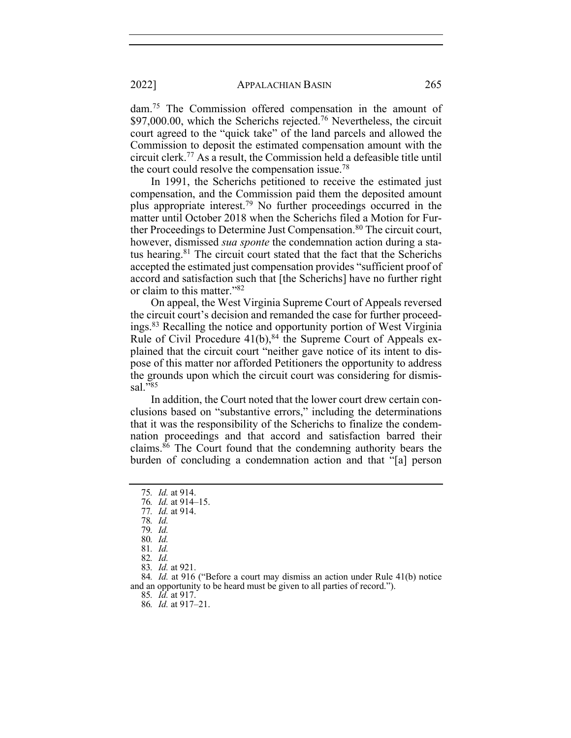dam.75 The Commission offered compensation in the amount of  $$97,000.00$ , which the Scherichs rejected.<sup>76</sup> Nevertheless, the circuit court agreed to the "quick take" of the land parcels and allowed the Commission to deposit the estimated compensation amount with the circuit clerk.77 As a result, the Commission held a defeasible title until the court could resolve the compensation issue.78

In 1991, the Scherichs petitioned to receive the estimated just compensation, and the Commission paid them the deposited amount plus appropriate interest.79 No further proceedings occurred in the matter until October 2018 when the Scherichs filed a Motion for Further Proceedings to Determine Just Compensation.<sup>80</sup> The circuit court, however, dismissed *sua sponte* the condemnation action during a status hearing.<sup>81</sup> The circuit court stated that the fact that the Scherichs accepted the estimated just compensation provides "sufficient proof of accord and satisfaction such that [the Scherichs] have no further right or claim to this matter."82

On appeal, the West Virginia Supreme Court of Appeals reversed the circuit court's decision and remanded the case for further proceedings.83 Recalling the notice and opportunity portion of West Virginia Rule of Civil Procedure  $41(b)$ ,  $84$  the Supreme Court of Appeals explained that the circuit court "neither gave notice of its intent to dispose of this matter nor afforded Petitioners the opportunity to address the grounds upon which the circuit court was considering for dismissal."85

In addition, the Court noted that the lower court drew certain conclusions based on "substantive errors," including the determinations that it was the responsibility of the Scherichs to finalize the condemnation proceedings and that accord and satisfaction barred their claims.86 The Court found that the condemning authority bears the burden of concluding a condemnation action and that "[a] person

85*. Id.* at 917.

<sup>75</sup>*. Id.* at 914.

<sup>76</sup>*. Id.* at 914–15.

<sup>77</sup>*. Id.* at 914. 78*. Id.*

<sup>79</sup>*. Id.* 80*. Id.*

<sup>81</sup>*. Id.*

<sup>82</sup>*. Id.*

<sup>83</sup>*. Id.* at 921.

<sup>84</sup>*. Id.* at 916 ("Before a court may dismiss an action under Rule 41(b) notice and an opportunity to be heard must be given to all parties of record.").

<sup>86</sup>*. Id.* at 917–21.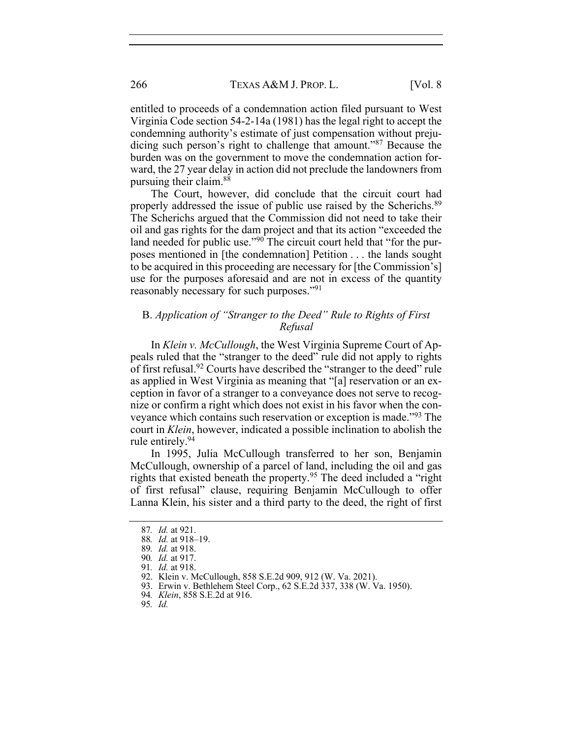entitled to proceeds of a condemnation action filed pursuant to West Virginia Code section 54-2-14a (1981) has the legal right to accept the condemning authority's estimate of just compensation without prejudicing such person's right to challenge that amount."87 Because the burden was on the government to move the condemnation action forward, the 27 year delay in action did not preclude the landowners from pursuing their claim.88

The Court, however, did conclude that the circuit court had properly addressed the issue of public use raised by the Scherichs.<sup>89</sup> The Scherichs argued that the Commission did not need to take their oil and gas rights for the dam project and that its action "exceeded the land needed for public use."<sup>90</sup> The circuit court held that "for the purposes mentioned in [the condemnation] Petition . . . the lands sought to be acquired in this proceeding are necessary for [the Commission's] use for the purposes aforesaid and are not in excess of the quantity reasonably necessary for such purposes."<sup>91</sup>

## B. *Application of "Stranger to the Deed" Rule to Rights of First Refusal*

In *Klein v. McCullough*, the West Virginia Supreme Court of Appeals ruled that the "stranger to the deed" rule did not apply to rights of first refusal.92 Courts have described the "stranger to the deed" rule as applied in West Virginia as meaning that "[a] reservation or an exception in favor of a stranger to a conveyance does not serve to recognize or confirm a right which does not exist in his favor when the conveyance which contains such reservation or exception is made."93 The court in *Klein*, however, indicated a possible inclination to abolish the rule entirely.94

In 1995, Julia McCullough transferred to her son, Benjamin McCullough, ownership of a parcel of land, including the oil and gas rights that existed beneath the property.95 The deed included a "right of first refusal" clause, requiring Benjamin McCullough to offer Lanna Klein, his sister and a third party to the deed, the right of first

<sup>87</sup>*. Id.* at 921.

<sup>88</sup>*. Id.* at 918–19.

<sup>89</sup>*. Id.* at 918.

<sup>90</sup>*. Id.* at 917.

<sup>91</sup>*. Id.* at 918.

<sup>92.</sup> Klein v. McCullough, 858 S.E.2d 909, 912 (W. Va. 2021).

<sup>93.</sup> Erwin v. Bethlehem Steel Corp., 62 S.E.2d 337, 338 (W. Va. 1950).

<sup>94</sup>*. Klein*, 858 S.E.2d at 916.

<sup>95</sup>*. Id.*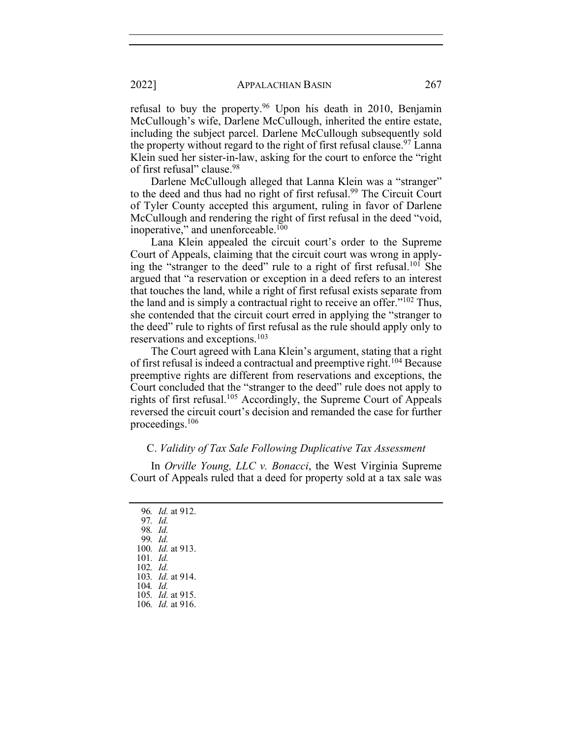refusal to buy the property.96 Upon his death in 2010, Benjamin McCullough's wife, Darlene McCullough, inherited the entire estate, including the subject parcel. Darlene McCullough subsequently sold the property without regard to the right of first refusal clause.<sup>97</sup> Lanna Klein sued her sister-in-law, asking for the court to enforce the "right of first refusal" clause.98

Darlene McCullough alleged that Lanna Klein was a "stranger" to the deed and thus had no right of first refusal.<sup>99</sup> The Circuit Court of Tyler County accepted this argument, ruling in favor of Darlene McCullough and rendering the right of first refusal in the deed "void, inoperative," and unenforceable.<sup>100</sup>

Lana Klein appealed the circuit court's order to the Supreme Court of Appeals, claiming that the circuit court was wrong in applying the "stranger to the deed" rule to a right of first refusal.101 She argued that "a reservation or exception in a deed refers to an interest that touches the land, while a right of first refusal exists separate from the land and is simply a contractual right to receive an offer."102 Thus, she contended that the circuit court erred in applying the "stranger to the deed" rule to rights of first refusal as the rule should apply only to reservations and exceptions.103

The Court agreed with Lana Klein's argument, stating that a right of first refusal is indeed a contractual and preemptive right.<sup>104</sup> Because preemptive rights are different from reservations and exceptions, the Court concluded that the "stranger to the deed" rule does not apply to rights of first refusal.<sup>105</sup> Accordingly, the Supreme Court of Appeals reversed the circuit court's decision and remanded the case for further proceedings.106

## C. *Validity of Tax Sale Following Duplicative Tax Assessment*

In *Orville Young, LLC v. Bonacci*, the West Virginia Supreme Court of Appeals ruled that a deed for property sold at a tax sale was

<sup>96</sup>*. Id.* at 912. 97*. Id.* 98*. Id.* 99*. Id.* 100*. Id.* at 913. <sup>101</sup>*. Id.* 102*. Id.* 103*. Id.* at 914. 104*. Id.* 105*. Id.* at 915. 106*. Id.* at 916.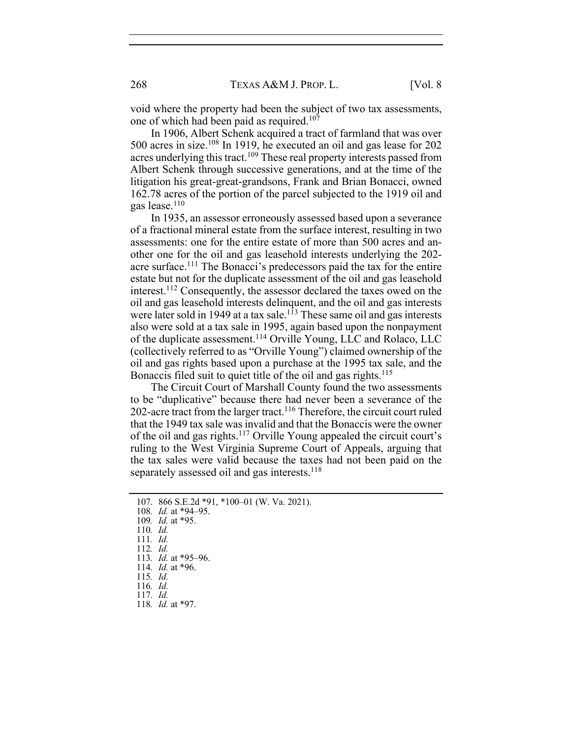void where the property had been the subject of two tax assessments, one of which had been paid as required.<sup>107</sup>

In 1906, Albert Schenk acquired a tract of farmland that was over 500 acres in size.108 In 1919, he executed an oil and gas lease for 202 acres underlying this tract.<sup>109</sup> These real property interests passed from Albert Schenk through successive generations, and at the time of the litigation his great-great-grandsons, Frank and Brian Bonacci, owned 162.78 acres of the portion of the parcel subjected to the 1919 oil and gas lease.110

In 1935, an assessor erroneously assessed based upon a severance of a fractional mineral estate from the surface interest, resulting in two assessments: one for the entire estate of more than 500 acres and another one for the oil and gas leasehold interests underlying the 202 acre surface.111 The Bonacci's predecessors paid the tax for the entire estate but not for the duplicate assessment of the oil and gas leasehold interest.112 Consequently, the assessor declared the taxes owed on the oil and gas leasehold interests delinquent, and the oil and gas interests were later sold in 1949 at a tax sale.<sup>113</sup> These same oil and gas interests also were sold at a tax sale in 1995, again based upon the nonpayment of the duplicate assessment.114 Orville Young, LLC and Rolaco, LLC (collectively referred to as "Orville Young") claimed ownership of the oil and gas rights based upon a purchase at the 1995 tax sale, and the Bonaccis filed suit to quiet title of the oil and gas rights.<sup>115</sup>

The Circuit Court of Marshall County found the two assessments to be "duplicative" because there had never been a severance of the 202-acre tract from the larger tract.<sup>116</sup> Therefore, the circuit court ruled that the 1949 tax sale was invalid and that the Bonaccis were the owner of the oil and gas rights.117 Orville Young appealed the circuit court's ruling to the West Virginia Supreme Court of Appeals, arguing that the tax sales were valid because the taxes had not been paid on the separately assessed oil and gas interests.<sup>118</sup>

- 110*. Id.*
- 111*. Id.*

<sup>107.</sup> 866 S.E.2d \*91, \*100–01 (W. Va. 2021).

<sup>108</sup>*. Id.* at \*94–95.

<sup>109</sup>*. Id.* at \*95.

<sup>112</sup>*. Id.*

<sup>113</sup>*. Id.* at \*95–96.

<sup>114</sup>*. Id.* at \*96.

<sup>115</sup>*. Id.*

<sup>116</sup>*. Id.* 117*. Id.*

<sup>118</sup>*. Id.* at \*97.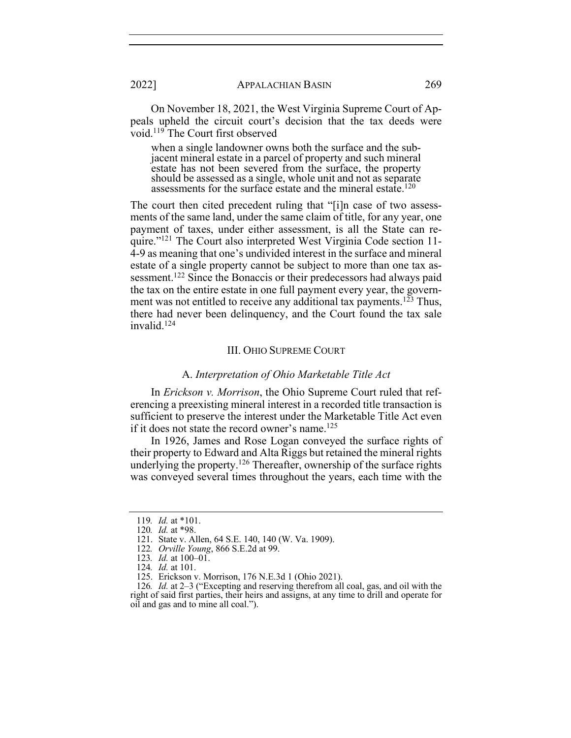On November 18, 2021, the West Virginia Supreme Court of Appeals upheld the circuit court's decision that the tax deeds were void.119 The Court first observed

when a single landowner owns both the surface and the subjacent mineral estate in a parcel of property and such mineral estate has not been severed from the surface, the property should be assessed as a single, whole unit and not as separate assessments for the surface estate and the mineral estate.<sup>120</sup>

The court then cited precedent ruling that "[i]n case of two assessments of the same land, under the same claim of title, for any year, one payment of taxes, under either assessment, is all the State can require."121 The Court also interpreted West Virginia Code section 11- 4-9 as meaning that one's undivided interest in the surface and mineral estate of a single property cannot be subject to more than one tax assessment.122 Since the Bonaccis or their predecessors had always paid the tax on the entire estate in one full payment every year, the government was not entitled to receive any additional tax payments.<sup>123</sup> Thus, there had never been delinquency, and the Court found the tax sale  $invald.<sup>124</sup>$ 

#### III. OHIO SUPREME COURT

#### A. *Interpretation of Ohio Marketable Title Act*

In *Erickson v. Morrison*, the Ohio Supreme Court ruled that referencing a preexisting mineral interest in a recorded title transaction is sufficient to preserve the interest under the Marketable Title Act even if it does not state the record owner's name.<sup>125</sup>

In 1926, James and Rose Logan conveyed the surface rights of their property to Edward and Alta Riggs but retained the mineral rights underlying the property.<sup>126</sup> Thereafter, ownership of the surface rights was conveyed several times throughout the years, each time with the

<sup>119</sup>*. Id.* at \*101.

<sup>120</sup>*. Id.* at \*98.

<sup>121.</sup> State v. Allen, 64 S.E. 140, 140 (W. Va. 1909).

<sup>122</sup>*. Orville Young*, 866 S.E.2d at 99.

<sup>123</sup>*. Id.* at 100–01.

<sup>124</sup>*. Id.* at 101.

<sup>125.</sup> Erickson v. Morrison, 176 N.E.3d 1 (Ohio 2021).

<sup>126</sup>*. Id.* at 2–3 ("Excepting and reserving therefrom all coal, gas, and oil with the right of said first parties, their heirs and assigns, at any time to drill and operate for oil and gas and to mine all coal.").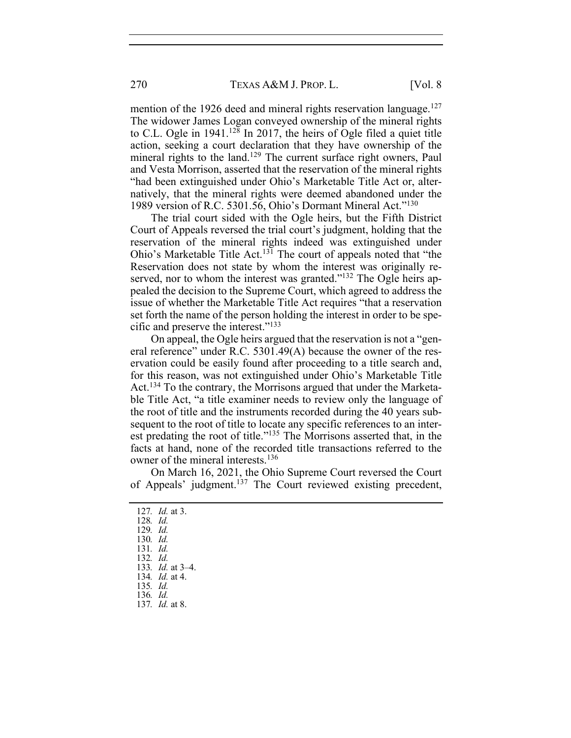mention of the 1926 deed and mineral rights reservation language.<sup>127</sup> The widower James Logan conveyed ownership of the mineral rights to C.L. Ogle in  $1941<sup>128</sup>$  In 2017, the heirs of Ogle filed a quiet title action, seeking a court declaration that they have ownership of the mineral rights to the land.<sup>129</sup> The current surface right owners, Paul and Vesta Morrison, asserted that the reservation of the mineral rights "had been extinguished under Ohio's Marketable Title Act or, alternatively, that the mineral rights were deemed abandoned under the 1989 version of R.C. 5301.56, Ohio's Dormant Mineral Act."130

The trial court sided with the Ogle heirs, but the Fifth District Court of Appeals reversed the trial court's judgment, holding that the reservation of the mineral rights indeed was extinguished under Ohio's Marketable Title Act.131 The court of appeals noted that "the Reservation does not state by whom the interest was originally reserved, nor to whom the interest was granted."<sup>132</sup> The Ogle heirs appealed the decision to the Supreme Court, which agreed to address the issue of whether the Marketable Title Act requires "that a reservation set forth the name of the person holding the interest in order to be specific and preserve the interest."133

On appeal, the Ogle heirs argued that the reservation is not a "general reference" under R.C. 5301.49(A) because the owner of the reservation could be easily found after proceeding to a title search and, for this reason, was not extinguished under Ohio's Marketable Title Act.<sup>134</sup> To the contrary, the Morrisons argued that under the Marketable Title Act, "a title examiner needs to review only the language of the root of title and the instruments recorded during the 40 years subsequent to the root of title to locate any specific references to an interest predating the root of title."135 The Morrisons asserted that, in the facts at hand, none of the recorded title transactions referred to the owner of the mineral interests.<sup>136</sup>

On March 16, 2021, the Ohio Supreme Court reversed the Court of Appeals' judgment.137 The Court reviewed existing precedent,

- 128*. Id.*
- 129*. Id.*
- 130*. Id.*
- 131*. Id.*
- 132*. Id.* 133*. Id.* at 3–4.
- 134*. Id.* at 4.
- 135*. Id.*
- 136*. Id.*
- 137*. Id.* at 8.

<sup>127</sup>*. Id.* at 3.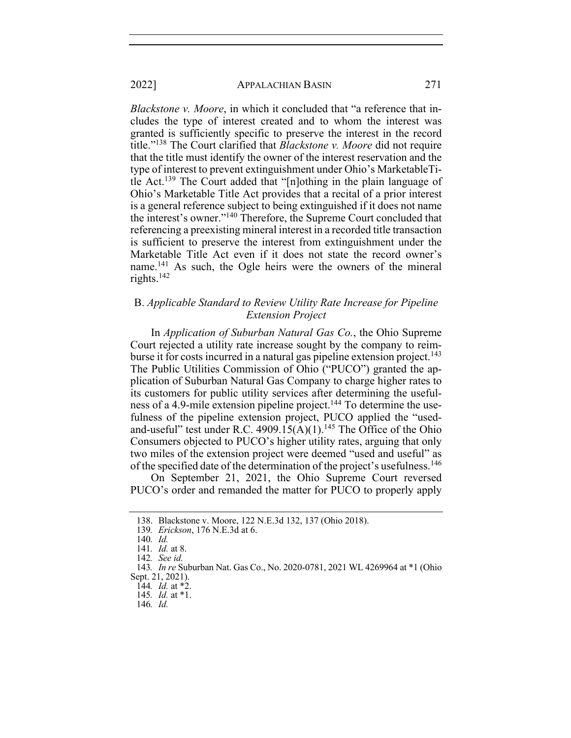*Blackstone v. Moore*, in which it concluded that "a reference that includes the type of interest created and to whom the interest was granted is sufficiently specific to preserve the interest in the record title."138 The Court clarified that *Blackstone v. Moore* did not require that the title must identify the owner of the interest reservation and the type of interest to prevent extinguishment under Ohio's MarketableTitle Act.139 The Court added that "[n]othing in the plain language of Ohio's Marketable Title Act provides that a recital of a prior interest is a general reference subject to being extinguished if it does not name the interest's owner."140 Therefore, the Supreme Court concluded that referencing a preexisting mineral interest in a recorded title transaction is sufficient to preserve the interest from extinguishment under the Marketable Title Act even if it does not state the record owner's name.<sup>141</sup> As such, the Ogle heirs were the owners of the mineral rights. $142$ 

# B. *Applicable Standard to Review Utility Rate Increase for Pipeline Extension Project*

In *Application of Suburban Natural Gas Co.*, the Ohio Supreme Court rejected a utility rate increase sought by the company to reimburse it for costs incurred in a natural gas pipeline extension project.<sup>143</sup> The Public Utilities Commission of Ohio ("PUCO") granted the application of Suburban Natural Gas Company to charge higher rates to its customers for public utility services after determining the usefulness of a 4.9-mile extension pipeline project.<sup>144</sup> To determine the usefulness of the pipeline extension project, PUCO applied the "usedand-useful" test under R.C. 4909.15(A)(1).<sup>145</sup> The Office of the Ohio Consumers objected to PUCO's higher utility rates, arguing that only two miles of the extension project were deemed "used and useful" as of the specified date of the determination of the project's usefulness.<sup>146</sup>

On September 21, 2021, the Ohio Supreme Court reversed PUCO's order and remanded the matter for PUCO to properly apply

<sup>138.</sup> Blackstone v. Moore, 122 N.E.3d 132, 137 (Ohio 2018).

<sup>139</sup>*. Erickson*, 176 N.E.3d at 6.

<sup>140</sup>*. Id.*

<sup>141</sup>*. Id.* at 8.

<sup>142</sup>*. See id.*

<sup>143</sup>*. In re* Suburban Nat. Gas Co., No. 2020-0781, 2021 WL 4269964 at \*1 (Ohio Sept. 21, 2021).

<sup>144</sup>*. Id.* at \*2.

<sup>145</sup>*. Id.* at \*1.

<sup>146</sup>*. Id.*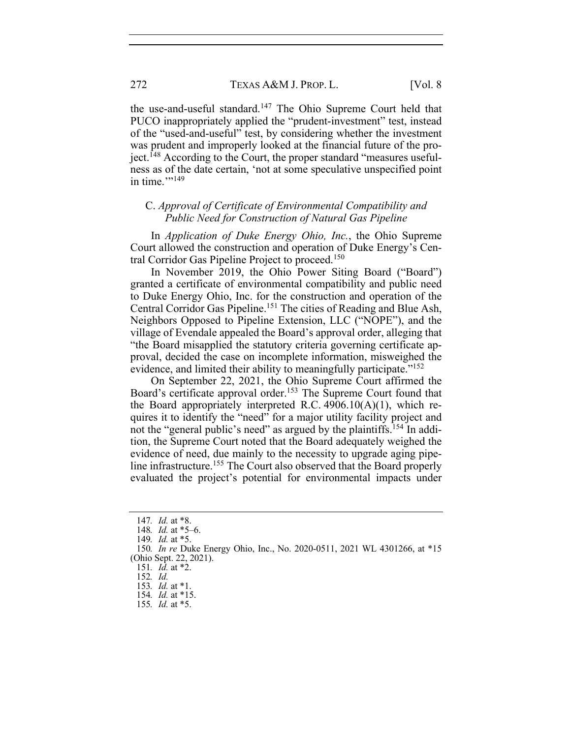the use-and-useful standard.147 The Ohio Supreme Court held that PUCO inappropriately applied the "prudent-investment" test, instead of the "used-and-useful" test, by considering whether the investment was prudent and improperly looked at the financial future of the project.<sup> $148$ </sup> According to the Court, the proper standard "measures usefulness as of the date certain, 'not at some speculative unspecified point in time. $"$ <sup>149</sup>

# C. *Approval of Certificate of Environmental Compatibility and Public Need for Construction of Natural Gas Pipeline*

In *Application of Duke Energy Ohio, Inc.*, the Ohio Supreme Court allowed the construction and operation of Duke Energy's Central Corridor Gas Pipeline Project to proceed.150

In November 2019, the Ohio Power Siting Board ("Board") granted a certificate of environmental compatibility and public need to Duke Energy Ohio, Inc. for the construction and operation of the Central Corridor Gas Pipeline.151 The cities of Reading and Blue Ash, Neighbors Opposed to Pipeline Extension, LLC ("NOPE"), and the village of Evendale appealed the Board's approval order, alleging that "the Board misapplied the statutory criteria governing certificate approval, decided the case on incomplete information, misweighed the evidence, and limited their ability to meaningfully participate."<sup>152</sup>

On September 22, 2021, the Ohio Supreme Court affirmed the Board's certificate approval order.<sup>153</sup> The Supreme Court found that the Board appropriately interpreted R.C.  $4906.10(A)(1)$ , which requires it to identify the "need" for a major utility facility project and not the "general public's need" as argued by the plaintiffs.<sup>154</sup> In addition, the Supreme Court noted that the Board adequately weighed the evidence of need, due mainly to the necessity to upgrade aging pipeline infrastructure.<sup>155</sup> The Court also observed that the Board properly evaluated the project's potential for environmental impacts under

<sup>147</sup>*. Id.* at \*8.

<sup>148</sup>*. Id.* at \*5–6.

<sup>149</sup>*. Id.* at \*5.

<sup>150</sup>*. In re* Duke Energy Ohio, Inc., No. 2020-0511, 2021 WL 4301266, at \*15 (Ohio Sept. 22, 2021).

<sup>151</sup>*. Id.* at \*2.

<sup>152</sup>*. Id.* 

<sup>153</sup>*. Id.* at \*1.

<sup>154</sup>*. Id.* at \*15.

<sup>155</sup>*. Id.* at \*5.